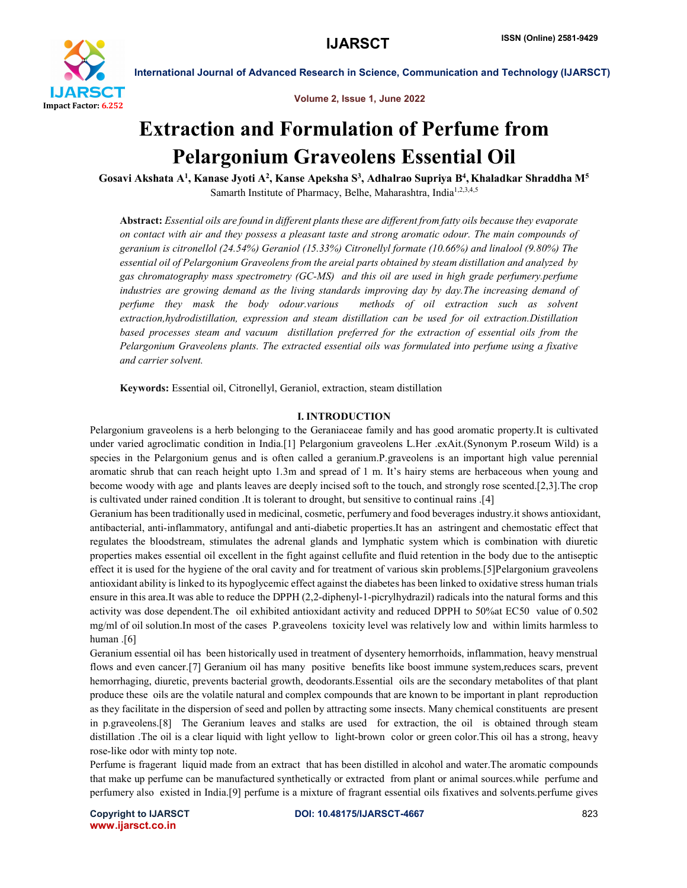

Volume 2, Issue 1, June 2022

# Extraction and Formulation of Perfume from Pelargonium Graveolens Essential Oil

Gosavi Akshata A<sup>1</sup>, Kanase Jyoti A<sup>2</sup>, Kanse Apeksha S<sup>3</sup>, Adhalrao Supriya B<sup>4</sup>, Khaladkar Shraddha M<sup>5</sup> Samarth Institute of Pharmacy, Belhe, Maharashtra, India<sup>1,2,3,4,5</sup>

Abstract: *Essential oils are found in different plants these are different from fatty oils because they evaporate on contact with air and they possess a pleasant taste and strong aromatic odour. The main compounds of geranium is citronellol (24.54%) Geraniol (15.33%) Citronellyl formate (10.66%) and linalool (9.80%) The essential oil of Pelargonium Graveolens from the areial parts obtained by steam distillation and analyzed by gas chromatography mass spectrometry (GC-MS) and this oil are used in high grade perfumery.perfume industries are growing demand as the living standards improving day by day.The increasing demand of perfume they mask the body odour.various methods of oil extraction such as solvent extraction,hydrodistillation, expression and steam distillation can be used for oil extraction.Distillation based processes steam and vacuum distillation preferred for the extraction of essential oils from the Pelargonium Graveolens plants. The extracted essential oils was formulated into perfume using a fixative and carrier solvent.*

Keywords: Essential oil, Citronellyl, Geraniol, extraction, steam distillation

### I. INTRODUCTION

Pelargonium graveolens is a herb belonging to the Geraniaceae family and has good aromatic property.It is cultivated under varied agroclimatic condition in India.[1] Pelargonium graveolens L.Her .exAit.(Synonym P.roseum Wild) is a species in the Pelargonium genus and is often called a geranium.P.graveolens is an important high value perennial aromatic shrub that can reach height upto 1.3m and spread of 1 m. It's hairy stems are herbaceous when young and become woody with age and plants leaves are deeply incised soft to the touch, and strongly rose scented.[2,3].The crop is cultivated under rained condition .It is tolerant to drought, but sensitive to continual rains .[4]

Geranium has been traditionally used in medicinal, cosmetic, perfumery and food beverages industry.it shows antioxidant, antibacterial, anti-inflammatory, antifungal and anti-diabetic properties.It has an astringent and chemostatic effect that regulates the bloodstream, stimulates the adrenal glands and lymphatic system which is combination with diuretic properties makes essential oil excellent in the fight against cellufite and fluid retention in the body due to the antiseptic effect it is used for the hygiene of the oral cavity and for treatment of various skin problems.[5]Pelargonium graveolens antioxidant ability is linked to its hypoglycemic effect against the diabetes has been linked to oxidative stress human trials ensure in this area.It was able to reduce the DPPH (2,2-diphenyl-1-picrylhydrazil) radicals into the natural forms and this activity was dose dependent.The oil exhibited antioxidant activity and reduced DPPH to 50%at EC50 value of 0.502 mg/ml of oil solution.In most of the cases P.graveolens toxicity level was relatively low and within limits harmless to human .<sup>[6]</sup>

Geranium essential oil has been historically used in treatment of dysentery hemorrhoids, inflammation, heavy menstrual flows and even cancer.[7] Geranium oil has many positive benefits like boost immune system,reduces scars, prevent hemorrhaging, diuretic, prevents bacterial growth, deodorants.Essential oils are the secondary metabolites of that plant produce these oils are the volatile natural and complex compounds that are known to be important in plant reproduction as they facilitate in the dispersion of seed and pollen by attracting some insects. Many chemical constituents are present in p.graveolens.[8] The Geranium leaves and stalks are used for extraction, the oil is obtained through steam distillation . The oil is a clear liquid with light yellow to light-brown color or green color. This oil has a strong, heavy rose-like odor with minty top note.

Perfume is fragerant liquid made from an extract that has been distilled in alcohol and water.The aromatic compounds that make up perfume can be manufactured synthetically or extracted from plant or animal sources.while perfume and perfumery also existed in India.[9] perfume is a mixture of fragrant essential oils fixatives and solvents.perfume gives

www.ijarsct.co.in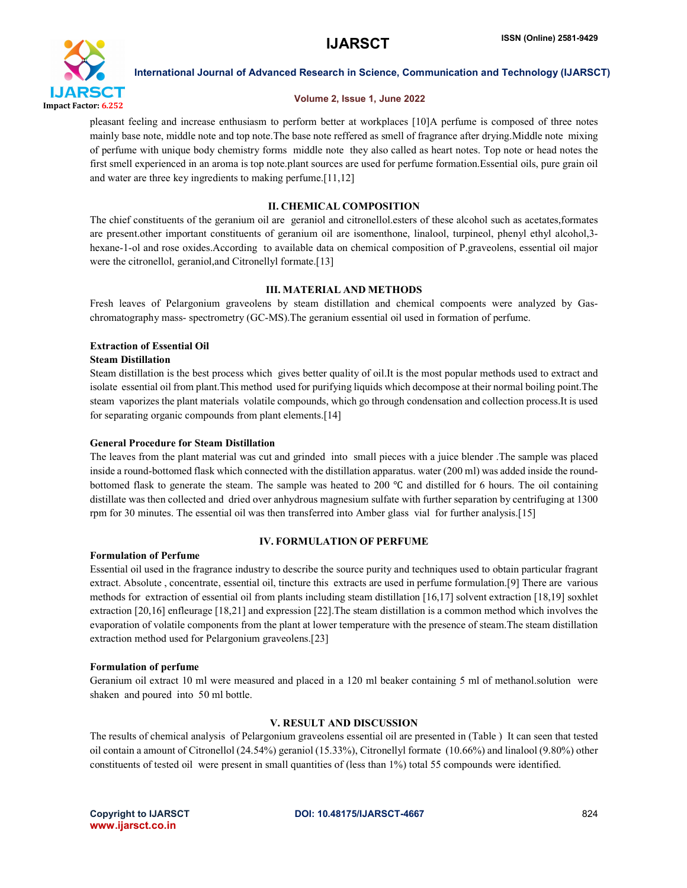

### Volume 2, Issue 1, June 2022

pleasant feeling and increase enthusiasm to perform better at workplaces [10]A perfume is composed of three notes mainly base note, middle note and top note.The base note reffered as smell of fragrance after drying.Middle note mixing of perfume with unique body chemistry forms middle note they also called as heart notes. Top note or head notes the first smell experienced in an aroma is top note.plant sources are used for perfume formation.Essential oils, pure grain oil and water are three key ingredients to making perfume.[11,12]

### ІІ. CHEMICAL COMPOSITION

The chief constituents of the geranium oil are geraniol and citronellol.esters of these alcohol such as acetates,formates are present.other important constituents of geranium oil are isomenthone, linalool, turpineol, phenyl ethyl alcohol,3 hexane-1-ol and rose oxides.According to available data on chemical composition of P.graveolens, essential oil major were the citronellol, geraniol, and Citronellyl formate.<sup>[13]</sup>

### ІІІ. MATERIAL AND METHODS

Fresh leaves of Pelargonium graveolens by steam distillation and chemical compoents were analyzed by Gaschromatography mass- spectrometry (GC-MS).The geranium essential oil used in formation of perfume.

### Extraction of Essential Oil

### Steam Distillation

Steam distillation is the best process which gives better quality of oil.It is the most popular methods used to extract and isolate essential oil from plant.This method used for purifying liquids which decompose at their normal boiling point.The steam vaporizes the plant materials volatile compounds, which go through condensation and collection process.It is used for separating organic compounds from plant elements.<sup>[14]</sup>

### General Procedure for Steam Distillation

The leaves from the plant material was cut and grinded into small pieces with a juice blender .The sample was placed inside a round-bottomed flask which connected with the distillation apparatus. water (200 ml) was added inside the roundbottomed flask to generate the steam. The sample was heated to 200 ℃ and distilled for 6 hours. The oil containing distillate was then collected and dried over anhydrous magnesium sulfate with further separation by centrifuging at 1300 rpm for 30 minutes. The essential oil was then transferred into Amber glass vial for further analysis.[15]

### Formulation of Perfume

### IV. FORMULATION OF PERFUME

Essential oil used in the fragrance industry to describe the source purity and techniques used to obtain particular fragrant extract. Absolute , concentrate, essential oil, tincture this extracts are used in perfume formulation.[9] There are various methods for extraction of essential oil from plants including steam distillation [16,17] solvent extraction [18,19] soxhlet extraction [20,16] enfleurage [18,21] and expression [22].The steam distillation is a common method which involves the evaporation of volatile components from the plant at lower temperature with the presence of steam.The steam distillation extraction method used for Pelargonium graveolens.[23]

### Formulation of perfume

Geranium oil extract 10 ml were measured and placed in a 120 ml beaker containing 5 ml of methanol.solution were shaken and poured into 50 ml bottle.

### V. RESULT AND DISCUSSION

The results of chemical analysis of Pelargonium graveolens essential oil are presented in (Table ) It can seen that tested oil contain a amount of Citronellol (24.54%) geraniol (15.33%), Citronellyl formate (10.66%) and linalool (9.80%) other constituents of tested oil were present in small quantities of (less than 1%) total 55 compounds were identified.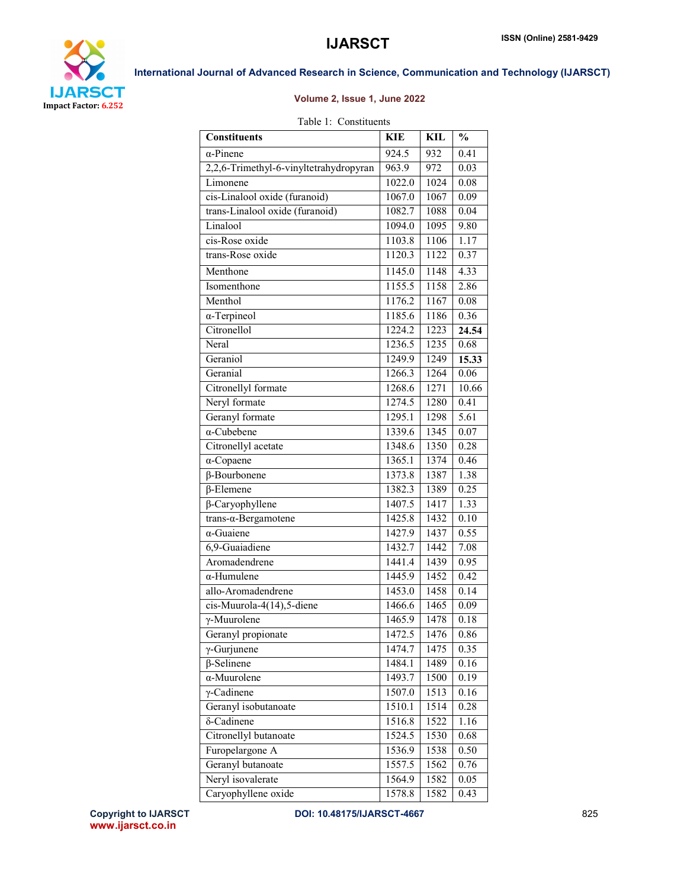



## Volume 2, Issue 1, June 2022

### Table 1: Constituents

| <b>Constituents</b>                    | <b>KIE</b> | <b>KIL</b> | $\frac{0}{0}$     |
|----------------------------------------|------------|------------|-------------------|
| $\alpha$ -Pinene                       | 924.5      | 932        | $\overline{0.41}$ |
| 2,2,6-Trimethyl-6-vinyltetrahydropyran | 963.9      | 972        | 0.03              |
| Limonene                               | 1022.0     | 1024       | 0.08              |
| cis-Linalool oxide (furanoid)          | 1067.0     | 1067       | 0.09              |
| trans-Linalool oxide (furanoid)        | 1082.7     | 1088       | 0.04              |
| Linalool                               | 1094.0     | 1095       | 9.80              |
| cis-Rose oxide                         | 1103.8     | 1106       | 1.17              |
| trans-Rose oxide                       | 1120.3     | 1122       | 0.37              |
| Menthone                               | 1145.0     | 1148       | 4.33              |
| Isomenthone                            | 1155.5     | 1158       | 2.86              |
| Menthol                                | 1176.2     | 1167       | 0.08              |
| $\alpha$ -Terpineol                    | 1185.6     | 1186       | 0.36              |
| Citronellol                            | 1224.2     | 1223       | 24.54             |
| Neral                                  | 1236.5     | 1235       | 0.68              |
| Geraniol                               | 1249.9     | 1249       | 15.33             |
| Geranial                               | 1266.3     | 1264       | 0.06              |
| Citronellyl formate                    | 1268.6     | 1271       | 10.66             |
| Neryl formate                          | 1274.5     | 1280       | 0.41              |
| Geranyl formate                        | 1295.1     | 1298       | 5.61              |
| $\alpha$ -Cubebene                     | 1339.6     | 1345       | 0.07              |
| Citronellyl acetate                    | 1348.6     | 1350       | 0.28              |
| $\alpha$ -Copaene                      | 1365.1     | 1374       | 0.46              |
| $\beta$ -Bourbonene                    | 1373.8     | 1387       | 1.38              |
| $\overline{\beta}$ -Elemene            | 1382.3     | 1389       | 0.25              |
| $\beta$ -Caryophyllene                 | 1407.5     | 1417       | 1.33              |
| $trans-a-Bergamotene$                  | 1425.8     | 1432       | 0.10              |
| $\alpha$ -Guaiene                      | 1427.9     | 1437       | 0.55              |
| 6,9-Guaiadiene                         | 1432.7     | 1442       | 7.08              |
| Aromadendrene                          | 1441.4     | 1439       | 0.95              |
| $\alpha$ -Humulene                     | 1445.9     | 1452       | 0.42              |
| allo-Aromadendrene                     | 1453.0     | 1458       | 0.14              |
| cis-Muurola-4(14),5-diene              | 1466.6     | 1465       | 0.09              |
| $\gamma$ -Muurolene                    | 1465.9     | 1478       | 0.18              |
| Geranyl propionate                     | 1472.5     | 1476       | 0.86              |
| $\gamma$ -Gurjunene                    | 1474.7     | 1475       | 0.35              |
| $\beta$ -Selinene                      | 1484.1     | 1489       | 0.16              |
| $\alpha$ -Muurolene                    | 1493.7     | 1500       | 0.19              |
| $\gamma$ -Cadinene                     | 1507.0     | 1513       | 0.16              |
| Geranyl isobutanoate                   | 1510.1     | 1514       | 0.28              |
| δ-Cadinene                             | 1516.8     | 1522       | 1.16              |
| Citronellyl butanoate                  | 1524.5     | 1530       | 0.68              |
| Furopelargone A                        | 1536.9     | 1538       | 0.50              |
| Geranyl butanoate                      | 1557.5     | 1562       | 0.76              |
| Neryl isovalerate                      | 1564.9     | 1582       | 0.05              |
| Caryophyllene oxide                    | 1578.8     | 1582       | 0.43              |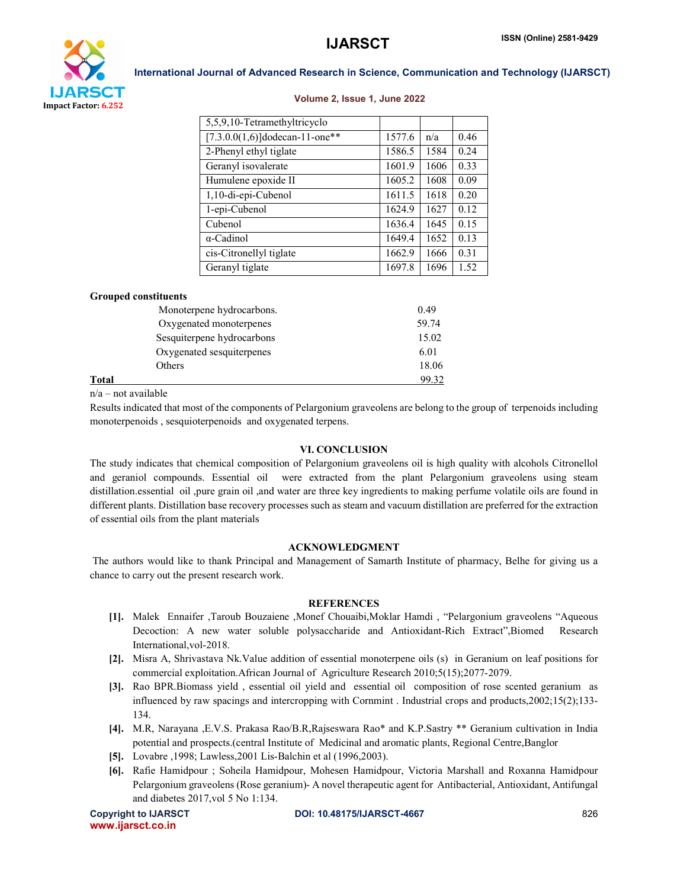

### Volume 2, Issue 1, June 2022

| 5,5,9,10-Tetramethyltricyclo      |        |      |      |
|-----------------------------------|--------|------|------|
| $[7.3.0.0(1,6)]$ dodecan-11-one** | 1577.6 | n/a  | 0.46 |
| 2-Phenyl ethyl tiglate            | 1586.5 | 1584 | 0.24 |
| Geranyl isovalerate               | 1601.9 | 1606 | 0.33 |
| Humulene epoxide II               | 1605.2 | 1608 | 0.09 |
| 1,10-di-epi-Cubenol               | 1611.5 | 1618 | 0.20 |
| 1-epi-Cubenol                     | 1624.9 | 1627 | 0.12 |
| Cubenol                           | 1636.4 | 1645 | 0.15 |
| $\alpha$ -Cadinol                 | 1649.4 | 1652 | 0.13 |
| cis-Citronellyl tiglate           | 1662.9 | 1666 | 0.31 |
| Geranyl tiglate                   | 1697.8 | 1696 | 1.52 |

### Grouped constituents

|       | Monoterpene hydrocarbons.  | 0.49  |
|-------|----------------------------|-------|
|       | Oxygenated monoterpenes    | 59.74 |
|       | Sesquiterpene hydrocarbons | 15.02 |
|       | Oxygenated sesquiterpenes  | 6.01  |
|       | Others                     | 18.06 |
| Total |                            | 99.32 |

n/a – not available

Results indicated that most of the components of Pelargonium graveolens are belong to the group of terpenoids including monoterpenoids , sesquioterpenoids and oxygenated terpens.

### VI. CONCLUSION

The study indicates that chemical composition of Pelargonium graveolens oil is high quality with alcohols Citronellol and geraniol compounds. Essential oil were extracted from the plant Pelargonium graveolens using steam distillation.essential oil ,pure grain oil ,and water are three key ingredients to making perfume volatile oils are found in different plants. Distillation base recovery processes such as steam and vacuum distillation are preferred for the extraction of essential oils from the plant materials

### ACKNOWLEDGMENT

The authors would like to thank Principal and Management of Samarth Institute of pharmacy, Belhe for giving us a chance to carry out the present research work.

### **REFERENCES**

- [1]. Malek Ennaifer ,Taroub Bouzaiene ,Monef Chouaibi,Moklar Hamdi , "Pelargonium graveolens "Aqueous Decoction: A new water soluble polysaccharide and Antioxidant-Rich Extract",Biomed Research International,vol-2018.
- [2]. Misra A, Shrivastava Nk.Value addition of essential monoterpene oils (s) in Geranium on leaf positions for commercial exploitation.African Journal of Agriculture Research 2010;5(15);2077-2079.
- [3]. Rao BPR.Biomass yield , essential oil yield and essential oil composition of rose scented geranium as influenced by raw spacings and intercropping with Cornmint . Industrial crops and products,2002;15(2);133- 134.
- [4]. M.R, Narayana ,E.V.S. Prakasa Rao/B.R,Rajseswara Rao\* and K.P.Sastry \*\* Geranium cultivation in India potential and prospects.(central Institute of Medicinal and aromatic plants, Regional Centre,Banglor
- [5]. Lovabre ,1998; Lawless,2001 Lis-Balchin et al (1996,2003).
- [6]. Rafie Hamidpour ; Soheila Hamidpour, Mohesen Hamidpour, Victoria Marshall and Roxanna Hamidpour Pelargonium graveolens (Rose geranium)- A novel therapeutic agent for Antibacterial, Antioxidant, Antifungal and diabetes 2017,vol 5 No 1:134.

www.ijarsct.co.in